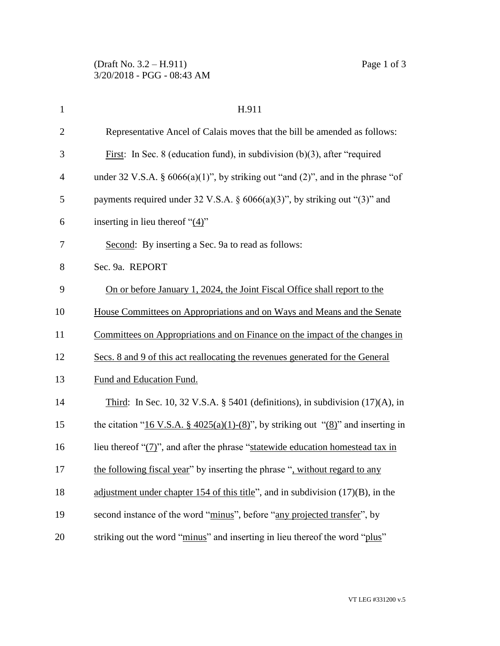| $\mathbf{1}$   | H.911                                                                                    |
|----------------|------------------------------------------------------------------------------------------|
| $\overline{2}$ | Representative Ancel of Calais moves that the bill be amended as follows:                |
| 3              | First: In Sec. 8 (education fund), in subdivision $(b)(3)$ , after "required"            |
| $\overline{4}$ | under 32 V.S.A. § $6066(a)(1)$ ", by striking out "and (2)", and in the phrase "of       |
| 5              | payments required under 32 V.S.A. § $6066(a)(3)$ ", by striking out "(3)" and            |
| 6              | inserting in lieu thereof " $(4)$ "                                                      |
| 7              | Second: By inserting a Sec. 9a to read as follows:                                       |
| 8              | Sec. 9a. REPORT                                                                          |
| 9              | On or before January 1, 2024, the Joint Fiscal Office shall report to the                |
| 10             | House Committees on Appropriations and on Ways and Means and the Senate                  |
| 11             | Committees on Appropriations and on Finance on the impact of the changes in              |
| 12             | Secs. 8 and 9 of this act reallocating the revenues generated for the General            |
| 13             | Fund and Education Fund.                                                                 |
| 14             | Third: In Sec. 10, 32 V.S.A. § 5401 (definitions), in subdivision $(17)(A)$ , in         |
| 15             | the citation "16 V.S.A. § $4025(a)(1)-(8)$ ", by striking out " $(8)$ " and inserting in |
| 16             | lieu thereof " $(7)$ ", and after the phrase "statewide education homestead tax in       |
| 17             | the following fiscal year" by inserting the phrase ", without regard to any              |
| 18             | adjustment under chapter 154 of this title", and in subdivision $(17)(B)$ , in the       |
| 19             | second instance of the word "minus", before "any projected transfer", by                 |
| 20             | striking out the word "minus" and inserting in lieu thereof the word "plus"              |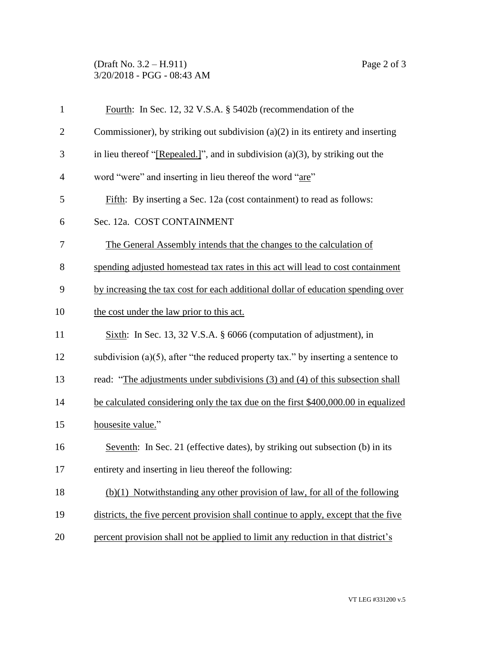## (Draft No. 3.2 – H.911) Page 2 of 3 3/20/2018 - PGG - 08:43 AM

| $\mathbf{1}$   | Fourth: In Sec. 12, 32 V.S.A. § 5402b (recommendation of the                         |
|----------------|--------------------------------------------------------------------------------------|
| $\overline{2}$ | Commissioner), by striking out subdivision $(a)(2)$ in its entirety and inserting    |
| 3              | in lieu thereof "[Repealed.]", and in subdivision $(a)(3)$ , by striking out the     |
| $\overline{4}$ | word "were" and inserting in lieu thereof the word "are"                             |
| 5              | Fifth: By inserting a Sec. 12a (cost containment) to read as follows:                |
| 6              | Sec. 12a. COST CONTAINMENT                                                           |
| 7              | The General Assembly intends that the changes to the calculation of                  |
| 8              | spending adjusted homestead tax rates in this act will lead to cost containment      |
| 9              | by increasing the tax cost for each additional dollar of education spending over     |
| 10             | the cost under the law prior to this act.                                            |
| 11             | Sixth: In Sec. 13, 32 V.S.A. $\S$ 6066 (computation of adjustment), in               |
| 12             | subdivision (a) $(5)$ , after "the reduced property tax." by inserting a sentence to |
| 13             | read: "The adjustments under subdivisions (3) and (4) of this subsection shall       |
| 14             | be calculated considering only the tax due on the first \$400,000.00 in equalized    |
| 15             | housesite value."                                                                    |
| 16             | Seventh: In Sec. 21 (effective dates), by striking out subsection (b) in its         |
| 17             | entirety and inserting in lieu thereof the following:                                |
| 18             | $(b)(1)$ Notwithstanding any other provision of law, for all of the following        |
| 19             | districts, the five percent provision shall continue to apply, except that the five  |
| 20             | percent provision shall not be applied to limit any reduction in that district's     |